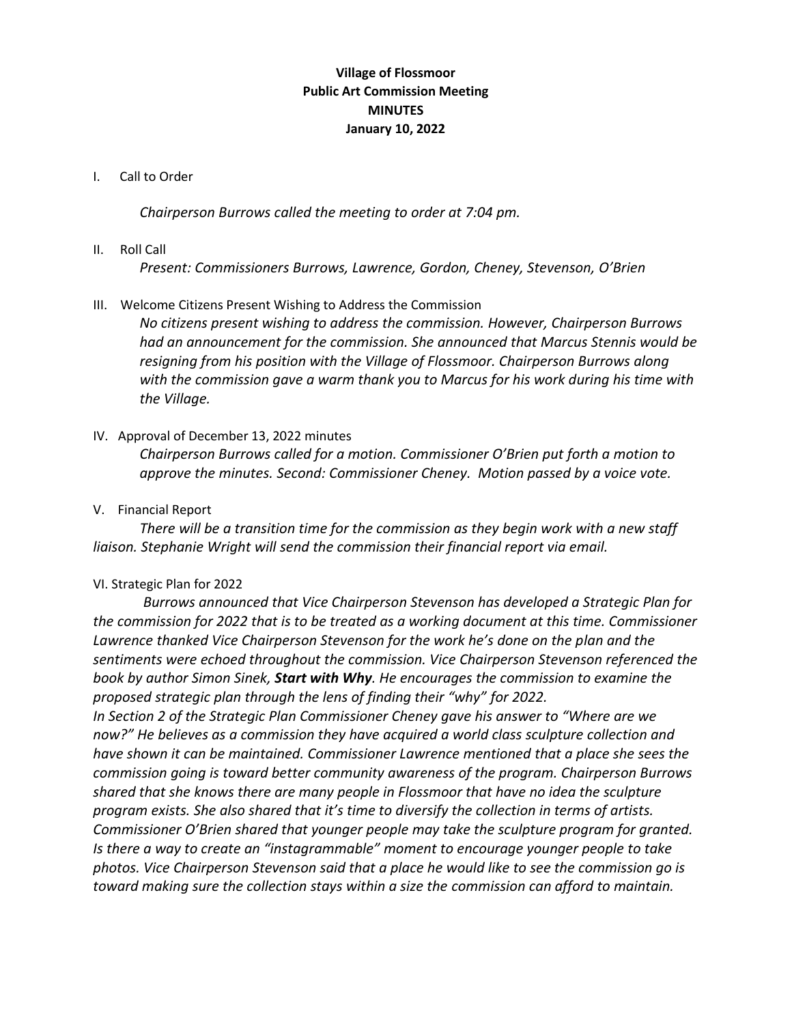# **Village of Flossmoor Public Art Commission Meeting MINUTES January 10, 2022**

### I. Call to Order

*Chairperson Burrows called the meeting to order at 7:04 pm.* 

### II. Roll Call

*Present: Commissioners Burrows, Lawrence, Gordon, Cheney, Stevenson, O'Brien*

### III. Welcome Citizens Present Wishing to Address the Commission

*No citizens present wishing to address the commission. However, Chairperson Burrows had an announcement for the commission. She announced that Marcus Stennis would be resigning from his position with the Village of Flossmoor. Chairperson Burrows along with the commission gave a warm thank you to Marcus for his work during his time with the Village.* 

### IV. Approval of December 13, 2022 minutes

*Chairperson Burrows called for a motion. Commissioner O'Brien put forth a motion to approve the minutes. Second: Commissioner Cheney. Motion passed by a voice vote.* 

### V. Financial Report

*There will be a transition time for the commission as they begin work with a new staff liaison. Stephanie Wright will send the commission their financial report via email.* 

### VI. Strategic Plan for 2022

*Burrows announced that Vice Chairperson Stevenson has developed a Strategic Plan for the commission for 2022 that is to be treated as a working document at this time. Commissioner Lawrence thanked Vice Chairperson Stevenson for the work he's done on the plan and the sentiments were echoed throughout the commission. Vice Chairperson Stevenson referenced the book by author Simon Sinek, Start with Why. He encourages the commission to examine the proposed strategic plan through the lens of finding their "why" for 2022.* 

*In Section 2 of the Strategic Plan Commissioner Cheney gave his answer to "Where are we now?" He believes as a commission they have acquired a world class sculpture collection and have shown it can be maintained. Commissioner Lawrence mentioned that a place she sees the commission going is toward better community awareness of the program. Chairperson Burrows shared that she knows there are many people in Flossmoor that have no idea the sculpture program exists. She also shared that it's time to diversify the collection in terms of artists. Commissioner O'Brien shared that younger people may take the sculpture program for granted. Is there a way to create an "instagrammable" moment to encourage younger people to take photos. Vice Chairperson Stevenson said that a place he would like to see the commission go is toward making sure the collection stays within a size the commission can afford to maintain.*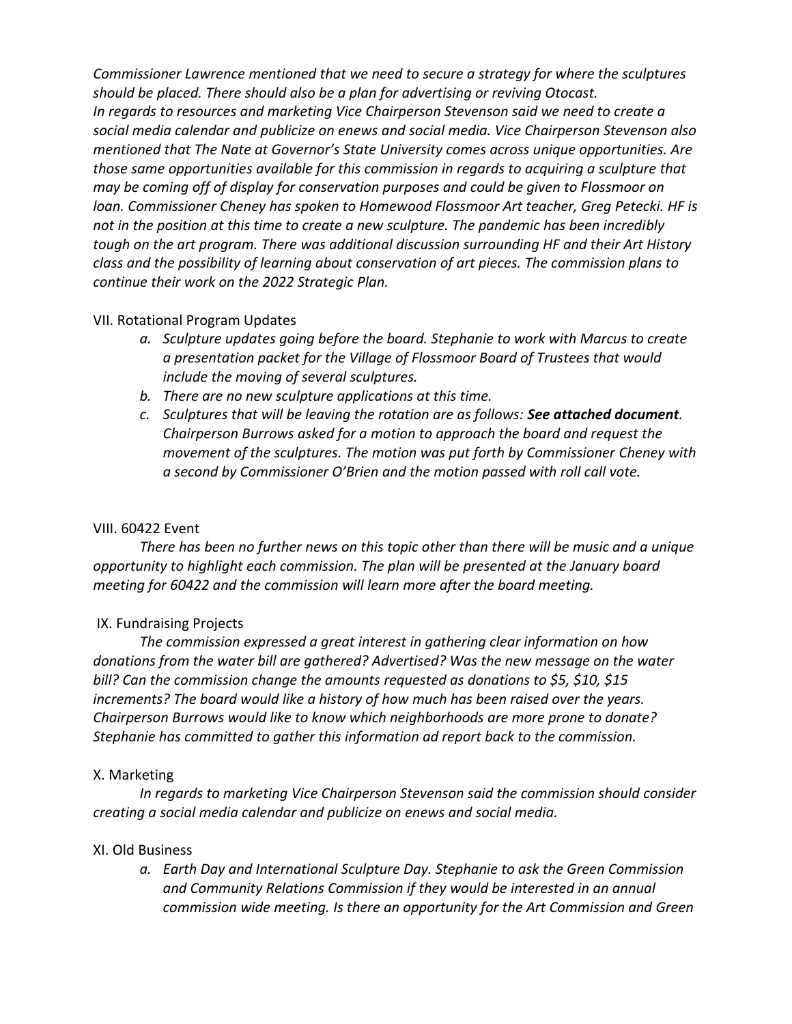*Commissioner Lawrence mentioned that we need to secure a strategy for where the sculptures should be placed. There should also be a plan for advertising or reviving Otocast. In regards to resources and marketing Vice Chairperson Stevenson said we need to create a social media calendar and publicize on enews and social media. Vice Chairperson Stevenson also mentioned that The Nate at Governor's State University comes across unique opportunities. Are those same opportunities available for this commission in regards to acquiring a sculpture that may be coming off of display for conservation purposes and could be given to Flossmoor on loan. Commissioner Cheney has spoken to Homewood Flossmoor Art teacher, Greg Petecki. HF is not in the position at this time to create a new sculpture. The pandemic has been incredibly tough on the art program. There was additional discussion surrounding HF and their Art History class and the possibility of learning about conservation of art pieces. The commission plans to continue their work on the 2022 Strategic Plan.* 

## VII. Rotational Program Updates

- *a. Sculpture updates going before the board. Stephanie to work with Marcus to create a presentation packet for the Village of Flossmoor Board of Trustees that would include the moving of several sculptures.*
- *b. There are no new sculpture applications at this time.*
- *c. Sculptures that will be leaving the rotation are as follows: See attached document. Chairperson Burrows asked for a motion to approach the board and request the movement of the sculptures. The motion was put forth by Commissioner Cheney with a second by Commissioner O'Brien and the motion passed with roll call vote.*

# VIII. 60422 Event

*There has been no further news on this topic other than there will be music and a unique opportunity to highlight each commission. The plan will be presented at the January board meeting for 60422 and the commission will learn more after the board meeting.* 

# IX. Fundraising Projects

*The commission expressed a great interest in gathering clear information on how donations from the water bill are gathered? Advertised? Was the new message on the water bill? Can the commission change the amounts requested as donations to \$5, \$10, \$15 increments? The board would like a history of how much has been raised over the years. Chairperson Burrows would like to know which neighborhoods are more prone to donate? Stephanie has committed to gather this information ad report back to the commission.* 

## X. Marketing

*In regards to marketing Vice Chairperson Stevenson said the commission should consider creating a social media calendar and publicize on enews and social media.*

## XI. Old Business

*a. Earth Day and International Sculpture Day. Stephanie to ask the Green Commission and Community Relations Commission if they would be interested in an annual commission wide meeting. Is there an opportunity for the Art Commission and Green*